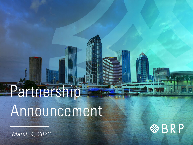# Partners no Announcement

March 4, 2022

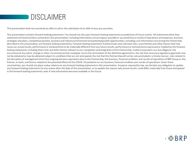

This presentation shall not constitute an offer to sell or the solicitation of an offer to buy any securities.

This presentation contains forward-looking statements. You should not rely upon forward-looking statements as predictions of future events. All statements other than statements of historical facts contained in this presentation, including information concerning our possible or assumed future results of operations and expenses, business strategies and plans, competitive position, business and industry environment and potential growth opportunities, including such information concerning the Partnership described in this presentation, are forward-looking statements. Forward-looking statements involve known and unknown risks, uncertainties and other factors that may cause our actual results, performance or achievements to be materially different from any future results, performance or achievements expressed or implied by the forwardlooking statements, including those risks and other factors relevant to our completion and integration of this Partnership, matters assessed in our due diligence, the occurrence of any event, change or other circumstances that could give rise to the termination of the definitive agreements, the risk that necessary regulatory approvals may not be obtained or may be obtained subject to conditions that are not anticipated, the risk that this Partnership will not be consummated in a timely manner, risks related to the disruption of management time from ongoing business operations due to this Partnership, the business, financial condition and results of operations of BRP Group or this Partner, or both, and factors related to the potential effects of the COVID-19 pandemic on our business, financial condition and results of operations. Given these uncertainties, you should not place undue reliance on any forward-looking statements in this presentation. Except as required by law, we disclaim any obligation to update any forward-looking statements for any reason after the date of this presentation, or to update the reasons why actual results could differ materially from those anticipated in the forward-looking statements, even if new information becomes available in the future.

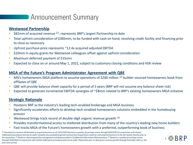### **Announcement Summary**

#### **Westwood Partnership**

- \$82mm of acquired revenue  $(1)$ , represents BRP's largest Partnership to date
- Total upfront consideration of \$385mm, to be funded with cash on hand, revolving credit facility and financing prior to close as necessary
- **■** Upfront purchase price represents ~12.4x acquired adjusted EBITDA
- **EXTE:** \$10mm in equity grants for Westwood colleagues offset against upfront consideration
- **Maximum deferred payment of \$15mm**
- Expected to close on or around May 1, 2022, subject to customary closing conditions and HSR review

#### **MGA of the Future's Program Administrator Agreement with QBE**

- **■** MSI's homeowners MGA platform to assume operations of \$200 million <sup>(2)</sup> builder-sourced homeowners book from affiliates of QBE
- QBE will provide balance sheet capacity for a period of 5 years (BRP will not assume any balance sheet risk)
- Expected to generate incremental EBITDA synergies of ~\$8mm related to BRP's existing homeowners MGA initiative

### **Strategic Rationale**

- Positions BRP as the industry's leading tech-enabled brokerage and MGA business
- **EXT** Significantly accelerates efforts to develop tech-enabled homeowners solutions embedded in the homebuying process
- **E** Westwood brings track record of double-digit organic revenue growth  $(3)$
- **•** Provides transformational access to sheltered distribution from many of the country's leading new home builders
- Fast-tracks MGA of the Future's homeowners growth with a preferred, outperforming book of business

(1) *Calculated as revenue attributable to acquired business as of 12/31/2021 based on a quality of earnings review through 9/30/2021 in conjunction with limited rollforward procedures and not an audit. Excludes any unowned acquired revenue from acquisitions made by such acquired business in the last twelve months prior to the acquisition; (2) Based on data prepared by management and data provided in Confidential Information Memorandum; (3) Based on a quality of earnings review through 9/30/2021 in conjunction with limited rollforward procedures and not an audit. Represents year-to-date gross revenue growth through December 2021 vs. the prior year period.*

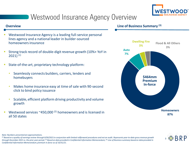

## Westwood Insurance Agency Overview

- Westwood Insurance Agency is a leading full-service personal lines agency and a national leader in builder-sourced homeownersinsurance
- Strong track record of double-digit revenue growth (10%+ YoY in  $2021$ )<sup>(1)</sup>
- State-of-the-art, proprietary technology platform:
	- Seamlessly connects builders, carriers, lenders and homebuyers
	- Makes home insurance easy at time of sale with 90-second click to bind policy issuance
	- Scalable, efficient platform driving productivity and volume growth
- Westwood services  $\approx$ 450,000<sup>(2)</sup> homeowners and is licensed in all 50 states

#### **Line of Business Summary Overview (3)**



*(1) Based on a quality of earnings review through 9/30/2021 in conjunction with limited rollforward procedures and not an audit. Represents year-to-date gross revenue growth through December 2021 vs. the prior year period; (2) Based on data provided in Confidential Information Memorandum; (3) Line of Business summary based on data provided in Confidential Information Memorandum; premium in-force as of 10/31/21.*



*Note: Numbers presented are approximations.*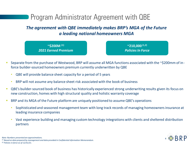## Program Administrator Agreement with QBE

*The agreement with QBE immediately makes BRP's MGA of the Future a leading national homeowners MGA*

**~\$200M (1)** *2021 Earned Premium* 

**~210,000 (1,2)** *Policies In Force*

- Separate from the purchase of Westwood, BRP will assume all MGA functions associated with the ~\$200mm of inforce builder-sourced homeowners premium currently underwritten by QBE
	- QBE will provide balance sheet capacity for a period of 5 years
	- BRP will not assume any balance sheet risk associated with the book of business
- QBE's builder-sourced book of business has historically experienced strong underwriting results given its focus on new construction, homes with high structural quality and holistic warranty coverage
- BRP and its MGA of the Future platform are uniquely positioned to assume QBE's operations
	- Sophisticated and seasoned management team with long track records of managing homeowners insurance at leading insurance companies
	- Vast experience building and managing custom technology integrations with clients and sheltered distribution partners



*Note: Numbers presented are approximations.*

*(1) Based on data prepared by management and data provided in Confidential Information Memorandum. (2) Policies in-force as of 12/31/21.*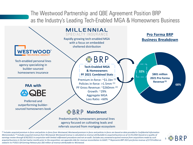The Westwood Partnership and QBE Agreement Position BRP as the Industry's Leading Tech-Enabled MGA & Homeowners Business



*(1) Includes acquired premium in-force and policies in-force from Westwood; Westwood premium in-force and policies in-force are based on data provided in Confidential Information Memorandum; (2) Includes acquired revenue from Westwood; Westwood revenue is calculated as revenue attributable to acquired business as of 12/31/2021 based on a quality of earnings review through 9/30/2021 in conjunction with limited rollforward procedures and not an audit. Excludes any unowned acquired revenue from acquisitions made by such acquired business in the last twelve months prior to the acquisition; see appendix slide for revenue reconciliation to GAAP; (3) Represents BRP 2021 pro forma revenue of \$719 million as stated in its FY2021 Q4 Earnings Release plus \$82 million of revenue attributable to Westwood.*

 $5 \otimes$  BRP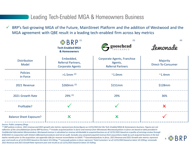Leading Tech-Enabled MGA & Homeowners Business

BRP's fast-growing MGA of the Future, MainStreet Platform and the addition of Westwood and the MGA agreement with QBE result in a leading tech-enabled firm across key metrics

|                                | <b> ☆ BRP</b>                                              | (3)                                                                | (4)                            |  |
|--------------------------------|------------------------------------------------------------|--------------------------------------------------------------------|--------------------------------|--|
|                                | <b>Tech-Enabled MGA</b><br>& Homeowners                    | goosehead                                                          | Lemonade                       |  |
| <b>Distribution</b><br>Model   | Embedded,<br>Referral Partners,<br><b>Corporate Agents</b> | Corporate Agents, Franchise<br>Agents,<br><b>Referral Partners</b> | Majority<br>Direct-To-Consumer |  |
| <b>Policies</b><br>in-Force    | $>1.5$ mm $(2)$                                            | $~^{\sim}$ 1.0mm                                                   | $~^{\sim}$ 1.4mm               |  |
| 2021 Revenue                   | \$260mm $(2)$                                              | \$151mm                                                            | \$128mm                        |  |
| 2021 Growth Rate               | 29% (2)                                                    | 29%                                                                | 36%                            |  |
| Profitable?                    |                                                            |                                                                    | $\boldsymbol{\chi}$            |  |
| <b>Balance Sheet Exposure?</b> |                                                            | $\boldsymbol{\mathsf{x}}$                                          |                                |  |

*Source: Public company filings.*

*(1) BRP policies in-force, 2021 revenue and 2021 growth rate metrics represent pro forma figures as 12/31/2021 for the Tech-Enabled MGA & Homeowners business. Figures are not reflective of the consolidated pro forma BRP business; (2) Includes acquired policies in-force and revenue from Westwood; Westwood policies in-force are based on data provided in Confidential Information Memorandum; Westwood revenue is calculated as revenue attributable to acquired business as of 12/31/2021 based on a quality of earnings review through 9/30/2021 in conjunction with limited rollforward procedures and not an audit. Excludes any unowned acquired revenue from acquisitions made by such acquired business in the last twelve months prior to the acquisition; see appendix slide for revenue reconciliation to GAAP; (3) Goosehead policies in-force, 2021 Revenue and 2021 Growth rate metrics represent*  year end results as of 12/31/2021 based on the latest 10-K filing; <sup>(4)</sup> Lemonade policies in-force represent 'Total Customers' as of 12/31/2021 based on latest 10-K filing; Lemonade *2021 Revenue and 2021 Growth Rate represent year end results as of 12/31/2021 based on latest 10-K filing.*

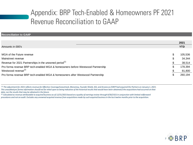## Appendix: BRP Tech-Enabled & Homeowners PF 2021 Revenue Reconciliation to GAAP

| <b>Reconciliation to GAAP</b>                                                         |            |
|---------------------------------------------------------------------------------------|------------|
|                                                                                       |            |
|                                                                                       | 2021       |
| Amounts in 000's                                                                      | <b>YTD</b> |
|                                                                                       |            |
| \$<br>MGA of the Future revenue                                                       | 105,536    |
| Mainstreet revenue<br>S                                                               | 34,344     |
| Revenue for 2021 Partnerships in the unowned period <sup>(1)</sup>                    | 38,514     |
| \$<br>Pro forma revenue BRP tech-enabled MGA & homeowners before Westwood Partnership | 178,394    |
| Westwood revenue <sup>(2)</sup>                                                       | 81,800     |
| Pro forma revenue BRP tech-enabled MGA & homeowners after Westwood Partnership        |            |

*(1) The adjustment for 2021 reflects revenue for Effective Coverage/Leasetrack, Monomoy, Founder Shield, JGS, and Arcana as if BRP had acquired the Partners on January 1, 2021. This unaudited pro forma information should not be relied upon as being indicative of the historical results that would have been obtained if the acquisitions had occurred on that date, nor the results that may be obtained in the future.*

*(2) Calculated as revenue attributable to acquired business as of 12/31/2021 based on a quality of earnings review through 9/30/2021 in conjunction with limited rollforward procedures and not an audit. Excludes any unowned acquired revenue from acquisitions made by such acquired business in the last twelve months prior to the acquisition.*